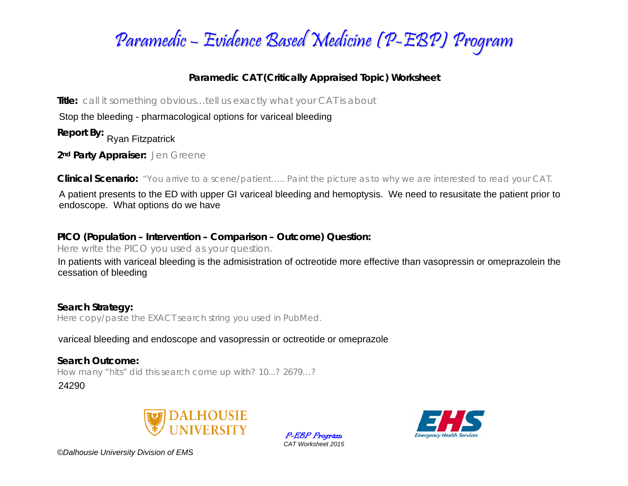

## **Paramedic CAT (Critically Appraised Topic) Worksheet**

**Title:** *call it something obvious…tell us exactly what your CAT is about* 

Stop the bleeding - pharmacological options for variceal bleeding

**Report By:**  Ryan Fitzpatrick

**2nd Party Appraiser:** *Jen Greene* 

**Clinical Scenario:** *"You arrive to a scene/patient….. Paint the picture as to why we are interested to read your CAT.*

A patient presents to the ED with upper GI variceal bleeding and hemoptysis. We need to resusitate the patient prior to endoscope. What options do we have

## **PICO (Population – Intervention – Comparison – Outcome) Question:**

*Here write the PICO you used as your question.* 

In patients with variceal bleeding is the admisistration of octreotide more effective than vasopressin or omeprazolein the cessation of bleeding<br>Search Strategy:<br>Here copy/paste the EXACT search string you used in PubMed.<br>

**Search Strategy:**  *Here copy/paste the EXACT search string you used in PubMed.* 

**Search Outcome:** *How many "hits" did this search come up with? 10...? 2679…?* 

24290







*©Dalhousie University Division of EMS*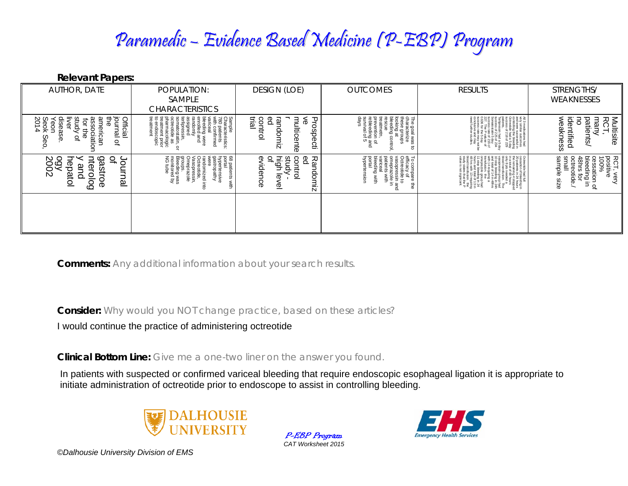## Paramedic – Evidence Based Medicine (P-EBP) Program

**Relevant Papers:** 

| AUTHOR, DATE                                                                                                            | POPULATION:<br>SAMPLE                                                                                                                                                                                                                                    | <b>DESIGN (LOE)</b>                                                                     | <b>OUTCOMES</b>                                                                                                                                                                                           | <b>RESULTS</b>                                                                                                                                                                                                                | STRENGTHS/<br>WEAKNESSES                                                                                                                               |
|-------------------------------------------------------------------------------------------------------------------------|----------------------------------------------------------------------------------------------------------------------------------------------------------------------------------------------------------------------------------------------------------|-----------------------------------------------------------------------------------------|-----------------------------------------------------------------------------------------------------------------------------------------------------------------------------------------------------------|-------------------------------------------------------------------------------------------------------------------------------------------------------------------------------------------------------------------------------|--------------------------------------------------------------------------------------------------------------------------------------------------------|
|                                                                                                                         | <b>CHARACTERISTICS</b>                                                                                                                                                                                                                                   |                                                                                         |                                                                                                                                                                                                           |                                                                                                                                                                                                                               |                                                                                                                                                        |
| Seok<br>2014<br>Official<br>င္တ<br>journal<br>동<br>Ĕ<br>rudy<br>eor<br>ă<br>5<br>Ĕ<br>ciati<br>ပ္စာ<br>Φ<br>♀<br>Õ<br>읷 | Sample<br>Characteristics:<br>Top article continent<br>varie continent<br>varie continue of the same of the same<br>assigned.<br>assigned.<br>terlipressin,<br>somatostatin, or<br>octreotide as<br>pharmacologic<br>treatment<br>treatment<br>treatment | trial<br>Ъс<br>ဥ<br>contr<br>₹<br>శ<br>ត្ត<br>lticente<br>မ္မ<br>S<br>O<br>ወ<br>₫.<br>ត | The goal was<br>characterize<br>these groups<br>looking at<br>bleeding cont<br>8<br>prevention of<br>rebleeding an<br>survival of 5<br>atmetn,<br>ä<br>ō<br>$\vec{a}$                                     | 끊은<br>sin had a 5 da<br>attrix 5 of 234<br>and and 01 216 of<br>the 5 day<br>the 5 day<br>tattrix 100 y<br>extern trivity<br>extern trivity<br>arons had<br>outcomes<br>he bleeding<br>he bleeding<br>ta of 229<br>218 of 229 | identified<br>Multisite<br>RCT,<br>weakness<br>patien<br>many<br>$\overline{5}$                                                                        |
| 00X<br>2002<br>ntero<br>으<br>⊃<br>ട്ട<br>င်<br>epatol<br>ீ<br>lamu<br>ഗ<br>≒<br>റ<br>δa<br>Φ                            | monitore<br>NG tube<br>hypertensive<br>gastropathy<br>68 patients<br>portal<br>On <sub>n.</sub><br>groups.<br>Bleeding was<br>انت<br>//asopressin<br>Omeprazole<br>جب<br>ere<br>G<br>ndomized in<br>ਡੈਂ<br>otide<br>ನ                                    | βč<br>B9<br>high<br>8<br>መ<br>Randomiz<br>c<br>idence<br>ā<br>ক<br>Φ                    | To compare t<br>efficacy of<br>orderotide to<br>correctide to<br>vasopressin a<br>paramic with<br>beeding with<br>ceding with<br>ceding with<br><b>Portal</b><br>There<br>ā<br>zole in<br>swith<br>ā<br>ω | is hours<br>sede a<br>sede a<br>group had after a<br>inng a<br>inng a<br>inng a<br>proup had<br>sing in 24<br>3 requiring<br>sion: the P<br>intite P<br>ignicant<br>ignicant                                                  | RCT, v<br>positiv<br>100%<br>smal<br>Samt<br>48hrs<br>cessation o<br>bleeding<br><sup>AR</sup> hrs for<br>ctre<br>ample<br>otide<br>very<br>ve<br>size |
|                                                                                                                         |                                                                                                                                                                                                                                                          |                                                                                         |                                                                                                                                                                                                           |                                                                                                                                                                                                                               |                                                                                                                                                        |

**Comments:** *Any additional information about your search results.*

**Consider:** *Why would you NOT change practice, based on these articles?*

I would continue the practice of administering octreotide

**Clinical Bottom Line:** *Give me a one-two liner on the answer you found.*

In patients with suspected or confirmed variceal bleeding that require endoscopic esophageal ligation it is appropriate to initiate administration of octreotide prior to endoscope to assist in controlling bleeding.



P-EBP Program *CAT Worksheet 2015* 



*©Dalhousie University Division of EMS*